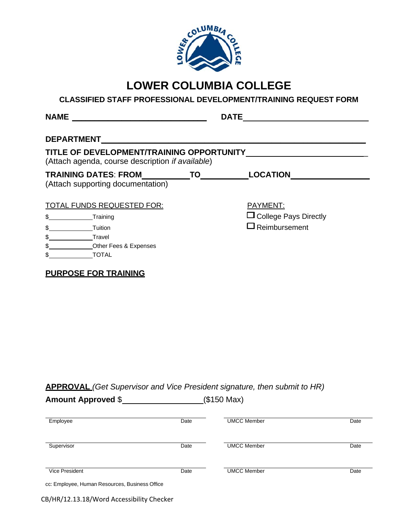

# **LOWER COLUMBIA COLLEGE**

# **CLASSIFIED STAFF PROFESSIONAL DEVELOPMENT/TRAINING REQUEST FORM**

|               | <b>DEPARTMENT</b>                                                                                     |                              |
|---------------|-------------------------------------------------------------------------------------------------------|------------------------------|
|               | TITLE OF DEVELOPMENT/TRAINING OPPORTUNITY<br>(Attach agenda, course description <i>if available</i> ) |                              |
|               | TRAINING DATES: FROM TO                                                                               | LOCATION                     |
|               |                                                                                                       |                              |
|               | (Attach supporting documentation)                                                                     |                              |
|               |                                                                                                       |                              |
|               | TOTAL FUNDS REQUESTED FOR:                                                                            | PAYMENT:                     |
| \$            | Training                                                                                              | $\Box$ College Pays Directly |
| \$            | Tuition                                                                                               | $\Box$ Reimbursement         |
| \$            | Travel                                                                                                |                              |
| $\frac{1}{2}$ | Other Fees & Expenses                                                                                 |                              |

# **APPROVAL** *(Get Supervisor and Vice President signature, then submit to HR)*

**Amount Approved** \$ (\$150 Max)

| Employee                                       | Date | <b>UMCC Member</b> | Date |
|------------------------------------------------|------|--------------------|------|
| Supervisor                                     | Date | <b>UMCC Member</b> | Date |
| Vice President                                 | Date | <b>UMCC Member</b> | Date |
| cc: Employee, Human Resources, Business Office |      |                    |      |

CB/HR/12.13.18/Word Accessibility Checker